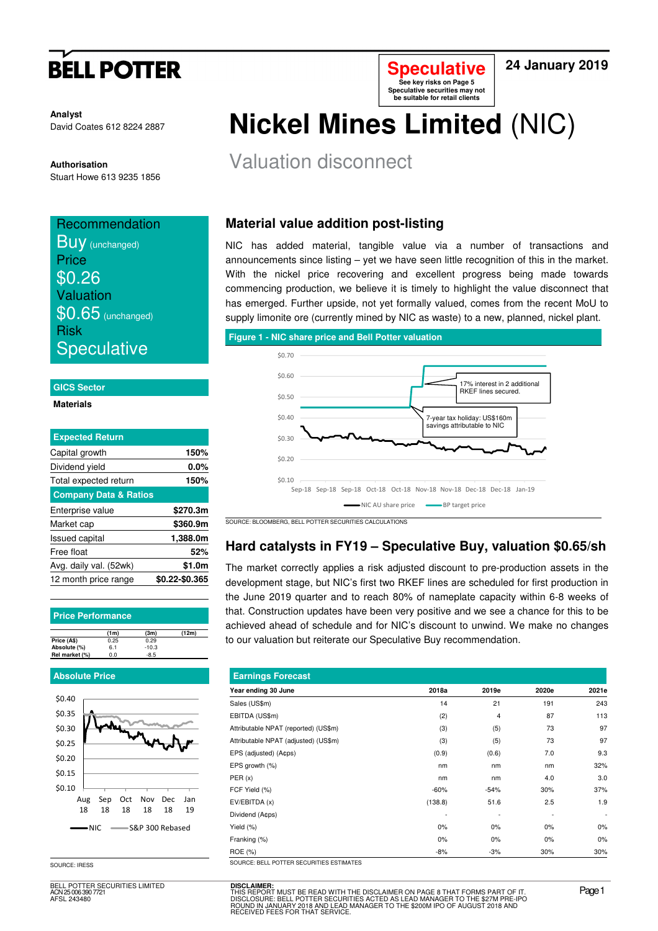# **BELL POTTER**

**Analyst** David Coates 612 8224 2887

**Authorisation** 

Stuart Howe 613 9235 1856

## **Recommendation BUV** (unchanged) **Price** \$0.26 Valuation  $$0.65$  (unchanged) Risk

**Speculative** 

### **GICS Sector**

**Materials** 

| <b>Expected Return</b>           |                |
|----------------------------------|----------------|
| Capital growth                   | 150%           |
| Dividend yield                   | $0.0\%$        |
| Total expected return            | 150%           |
| <b>Company Data &amp; Ratios</b> |                |
| Enterprise value                 | \$270.3m       |
| Market cap                       | \$360.9m       |
| <b>Issued capital</b>            | 1,388.0m       |
| Free float                       | 52%            |
| Avg. daily val. (52wk)           | \$1.0m         |
| 12 month price range             | \$0.22-\$0.365 |

**Price Performance**

|                | (1 <sub>m</sub> ) | (3m)    | (12m) |
|----------------|-------------------|---------|-------|
| Price (A\$)    | 0.25              | 0.29    |       |
| Absolute (%)   | 6.1               | $-10.3$ |       |
| Rel market (%) | 0.0               | $-8.5$  |       |
|                |                   |         |       |

### **Absolute Price**



BELL POTTER SECURITIES LIMITED ACN 25 006 390 7721 AFSL 243480

# **Nickel Mines Limited** (NIC)

**Speculative See key risks on Page 5 Speculative securities may not be suitable for retail clients** 

## Valuation disconnect

## **Material value addition post-listing**

NIC has added material, tangible value via a number of transactions and announcements since listing – yet we have seen little recognition of this in the market. With the nickel price recovering and excellent progress being made towards commencing production, we believe it is timely to highlight the value disconnect that has emerged. Further upside, not yet formally valued, comes from the recent MoU to supply limonite ore (currently mined by NIC as waste) to a new, planned, nickel plant.

### **Figure 1 - NIC share price and Bell Potter valuation**



SOURCE: BLOOMBERG, BELL POTTER SECURITIES CALCULATIONS

### **Hard catalysts in FY19 – Speculative Buy, valuation \$0.65/sh**

The market correctly applies a risk adjusted discount to pre-production assets in the development stage, but NIC's first two RKEF lines are scheduled for first production in the June 2019 quarter and to reach 80% of nameplate capacity within 6-8 weeks of that. Construction updates have been very positive and we see a chance for this to be achieved ahead of schedule and for NIC's discount to unwind. We make no changes to our valuation but reiterate our Speculative Buy recommendation.

| <b>Earnings Forecast</b>             |         |                          |       |                          |  |  |  |
|--------------------------------------|---------|--------------------------|-------|--------------------------|--|--|--|
| Year ending 30 June                  | 2018a   | 2019e                    | 2020e | 2021e                    |  |  |  |
| Sales (US\$m)                        | 14      | 21                       | 191   | 243                      |  |  |  |
| EBITDA (US\$m)                       | (2)     | $\overline{4}$           | 87    | 113                      |  |  |  |
| Attributable NPAT (reported) (US\$m) | (3)     | (5)                      | 73    | 97                       |  |  |  |
| Attributable NPAT (adjusted) (US\$m) | (3)     | (5)                      | 73    | 97                       |  |  |  |
| EPS (adjusted) (A¢ps)                | (0.9)   | (0.6)                    | 7.0   | 9.3                      |  |  |  |
| EPS growth (%)                       | nm      | nm                       | nm    | 32%                      |  |  |  |
| PER(x)                               | nm      | nm                       | 4.0   | 3.0                      |  |  |  |
| FCF Yield (%)                        | $-60%$  | $-54%$                   | 30%   | 37%                      |  |  |  |
| EV/EBITDA (x)                        | (138.8) | 51.6                     | 2.5   | 1.9                      |  |  |  |
| Dividend (A¢ps)                      |         | $\overline{\phantom{0}}$ |       | $\overline{\phantom{a}}$ |  |  |  |
| Yield (%)                            | 0%      | 0%                       | $0\%$ | 0%                       |  |  |  |
| Franking (%)                         | 0%      | 0%                       | $0\%$ | 0%                       |  |  |  |
| <b>ROE</b> (%)                       | $-8%$   | $-3%$                    | 30%   | 30%                      |  |  |  |

SOURCE: IRESS SOURCE: BELL POTTER SECURITIES

**24 January 2019**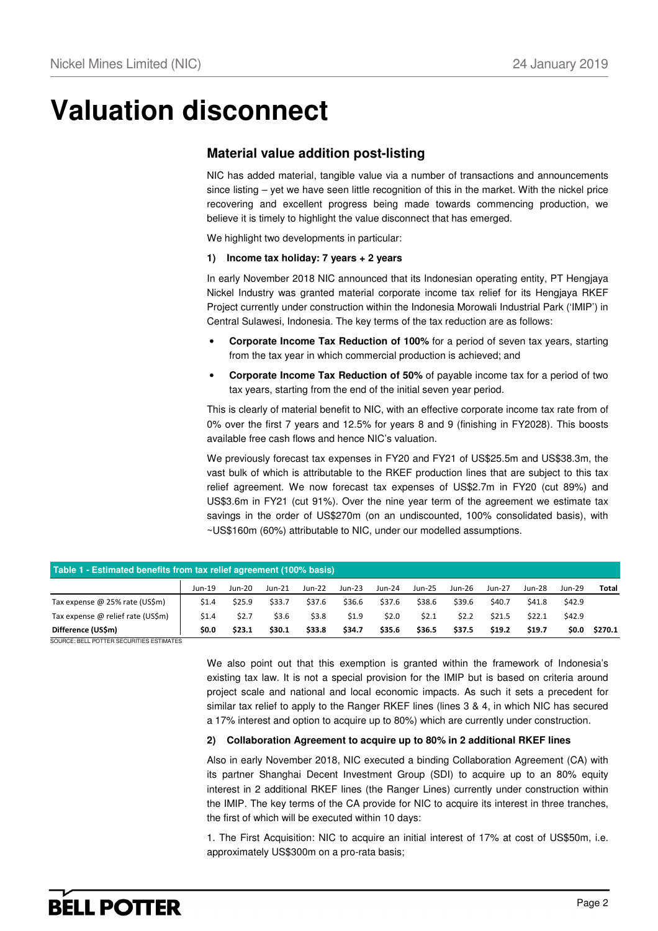# **Valuation disconnect**

### **Material value addition post-listing**

NIC has added material, tangible value via a number of transactions and announcements since listing – yet we have seen little recognition of this in the market. With the nickel price recovering and excellent progress being made towards commencing production, we believe it is timely to highlight the value disconnect that has emerged.

We highlight two developments in particular:

#### **1) Income tax holiday: 7 years + 2 years**

In early November 2018 NIC announced that its Indonesian operating entity, PT Hengjaya Nickel Industry was granted material corporate income tax relief for its Hengjaya RKEF Project currently under construction within the Indonesia Morowali Industrial Park ('IMIP') in Central Sulawesi, Indonesia. The key terms of the tax reduction are as follows:

- **Corporate Income Tax Reduction of 100%** for a period of seven tax years, starting from the tax year in which commercial production is achieved; and
- **Corporate Income Tax Reduction of 50%** of payable income tax for a period of two tax years, starting from the end of the initial seven year period.

This is clearly of material benefit to NIC, with an effective corporate income tax rate from of 0% over the first 7 years and 12.5% for years 8 and 9 (finishing in FY2028). This boosts available free cash flows and hence NIC's valuation.

We previously forecast tax expenses in FY20 and FY21 of US\$25.5m and US\$38.3m, the vast bulk of which is attributable to the RKEF production lines that are subject to this tax relief agreement. We now forecast tax expenses of US\$2.7m in FY20 (cut 89%) and US\$3.6m in FY21 (cut 91%). Over the nine year term of the agreement we estimate tax savings in the order of US\$270m (on an undiscounted, 100% consolidated basis), with ~US\$160m (60%) attributable to NIC, under our modelled assumptions.

| Table 1 - Estimated benefits from tax relief agreement (100% basis) |        |               |          |          |          |          |        |        |        |        |        |         |
|---------------------------------------------------------------------|--------|---------------|----------|----------|----------|----------|--------|--------|--------|--------|--------|---------|
|                                                                     | Jun-19 | <b>Jun-20</b> | $Jun-21$ | $Jun-22$ | $Jun-23$ | $Jun-24$ | Jun-25 | Jun-26 | Jun-27 | Jun-28 | Jun-29 | Total   |
| Tax expense $\omega$ 25% rate (US\$m)                               | \$1.4  | \$25.9        | \$33.7   | \$37.6   | \$36.6   | \$37.6   | \$38.6 | \$39.6 | \$40.7 | \$41.8 | \$42.9 |         |
| Tax expense @ relief rate (US\$m)                                   | \$1.4  | \$2.7         | \$3.6    | \$3.8    | \$1.9    | \$2.0    | \$2.1  | \$2.2  | \$21.5 | \$22.1 | \$42.9 |         |
| Difference (US\$m)                                                  | \$0.0  | \$23.1        | \$30.1   | \$33.8   | \$34.7   | \$35.6   | \$36.5 | \$37.5 | \$19.2 | \$19.7 | \$0.0  | \$270.1 |

SOURCE: BELL POTTER SECURITIES ESTIMATES

We also point out that this exemption is granted within the framework of Indonesia's existing tax law. It is not a special provision for the IMIP but is based on criteria around project scale and national and local economic impacts. As such it sets a precedent for similar tax relief to apply to the Ranger RKEF lines (lines 3 & 4, in which NIC has secured a 17% interest and option to acquire up to 80%) which are currently under construction.

### **2) Collaboration Agreement to acquire up to 80% in 2 additional RKEF lines**

Also in early November 2018, NIC executed a binding Collaboration Agreement (CA) with its partner Shanghai Decent Investment Group (SDI) to acquire up to an 80% equity interest in 2 additional RKEF lines (the Ranger Lines) currently under construction within the IMIP. The key terms of the CA provide for NIC to acquire its interest in three tranches, the first of which will be executed within 10 days:

1. The First Acquisition: NIC to acquire an initial interest of 17% at cost of US\$50m, i.e. approximately US\$300m on a pro-rata basis;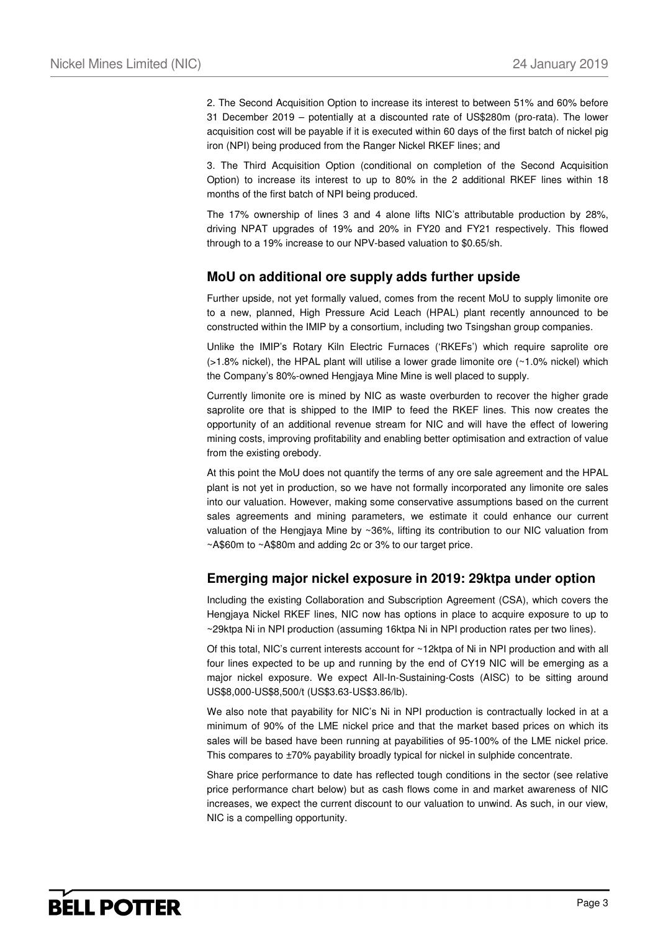2. The Second Acquisition Option to increase its interest to between 51% and 60% before 31 December 2019 – potentially at a discounted rate of US\$280m (pro-rata). The lower acquisition cost will be payable if it is executed within 60 days of the first batch of nickel pig iron (NPI) being produced from the Ranger Nickel RKEF lines; and

3. The Third Acquisition Option (conditional on completion of the Second Acquisition Option) to increase its interest to up to 80% in the 2 additional RKEF lines within 18 months of the first batch of NPI being produced.

The 17% ownership of lines 3 and 4 alone lifts NIC's attributable production by 28%, driving NPAT upgrades of 19% and 20% in FY20 and FY21 respectively. This flowed through to a 19% increase to our NPV-based valuation to \$0.65/sh.

### **MoU on additional ore supply adds further upside**

Further upside, not yet formally valued, comes from the recent MoU to supply limonite ore to a new, planned, High Pressure Acid Leach (HPAL) plant recently announced to be constructed within the IMIP by a consortium, including two Tsingshan group companies.

Unlike the IMIP's Rotary Kiln Electric Furnaces ('RKEFs') which require saprolite ore (>1.8% nickel), the HPAL plant will utilise a lower grade limonite ore (~1.0% nickel) which the Company's 80%-owned Hengjaya Mine Mine is well placed to supply.

Currently limonite ore is mined by NIC as waste overburden to recover the higher grade saprolite ore that is shipped to the IMIP to feed the RKEF lines. This now creates the opportunity of an additional revenue stream for NIC and will have the effect of lowering mining costs, improving profitability and enabling better optimisation and extraction of value from the existing orebody.

At this point the MoU does not quantify the terms of any ore sale agreement and the HPAL plant is not yet in production, so we have not formally incorporated any limonite ore sales into our valuation. However, making some conservative assumptions based on the current sales agreements and mining parameters, we estimate it could enhance our current valuation of the Hengjaya Mine by ~36%, lifting its contribution to our NIC valuation from ~A\$60m to ~A\$80m and adding 2c or 3% to our target price.

### **Emerging major nickel exposure in 2019: 29ktpa under option**

Including the existing Collaboration and Subscription Agreement (CSA), which covers the Hengjaya Nickel RKEF lines, NIC now has options in place to acquire exposure to up to ~29ktpa Ni in NPI production (assuming 16ktpa Ni in NPI production rates per two lines).

Of this total, NIC's current interests account for ~12ktpa of Ni in NPI production and with all four lines expected to be up and running by the end of CY19 NIC will be emerging as a major nickel exposure. We expect All-In-Sustaining-Costs (AISC) to be sitting around US\$8,000-US\$8,500/t (US\$3.63-US\$3.86/lb).

We also note that payability for NIC's Ni in NPI production is contractually locked in at a minimum of 90% of the LME nickel price and that the market based prices on which its sales will be based have been running at payabilities of 95-100% of the LME nickel price. This compares to ±70% payability broadly typical for nickel in sulphide concentrate.

Share price performance to date has reflected tough conditions in the sector (see relative price performance chart below) but as cash flows come in and market awareness of NIC increases, we expect the current discount to our valuation to unwind. As such, in our view, NIC is a compelling opportunity.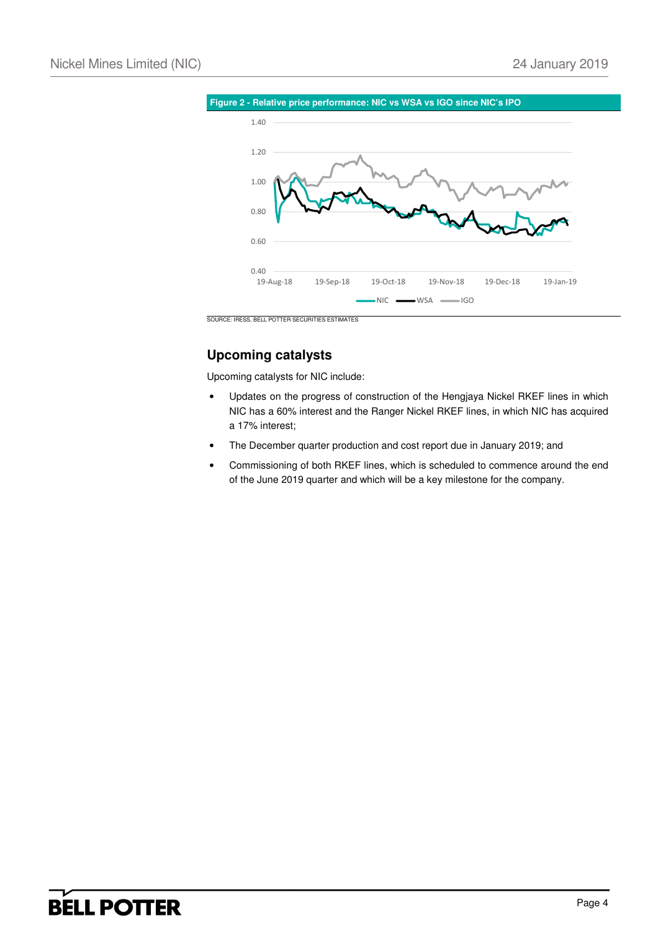

## **Upcoming catalysts**

Upcoming catalysts for NIC include:

- Updates on the progress of construction of the Hengjaya Nickel RKEF lines in which NIC has a 60% interest and the Ranger Nickel RKEF lines, in which NIC has acquired a 17% interest;
- The December quarter production and cost report due in January 2019; and
- Commissioning of both RKEF lines, which is scheduled to commence around the end of the June 2019 quarter and which will be a key milestone for the company.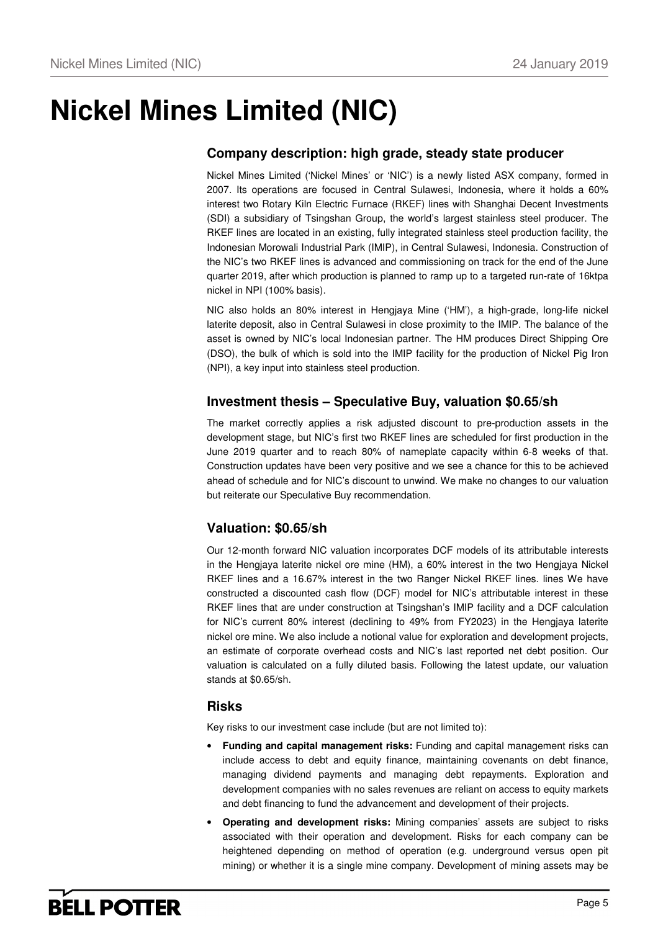# **Nickel Mines Limited (NIC)**

### **Company description: high grade, steady state producer**

Nickel Mines Limited ('Nickel Mines' or 'NIC') is a newly listed ASX company, formed in 2007. Its operations are focused in Central Sulawesi, Indonesia, where it holds a 60% interest two Rotary Kiln Electric Furnace (RKEF) lines with Shanghai Decent Investments (SDI) a subsidiary of Tsingshan Group, the world's largest stainless steel producer. The RKEF lines are located in an existing, fully integrated stainless steel production facility, the Indonesian Morowali Industrial Park (IMIP), in Central Sulawesi, Indonesia. Construction of the NIC's two RKEF lines is advanced and commissioning on track for the end of the June quarter 2019, after which production is planned to ramp up to a targeted run-rate of 16ktpa nickel in NPI (100% basis).

NIC also holds an 80% interest in Hengjaya Mine ('HM'), a high-grade, long-life nickel laterite deposit, also in Central Sulawesi in close proximity to the IMIP. The balance of the asset is owned by NIC's local Indonesian partner. The HM produces Direct Shipping Ore (DSO), the bulk of which is sold into the IMIP facility for the production of Nickel Pig Iron (NPI), a key input into stainless steel production.

### **Investment thesis – Speculative Buy, valuation \$0.65/sh**

The market correctly applies a risk adjusted discount to pre-production assets in the development stage, but NIC's first two RKEF lines are scheduled for first production in the June 2019 quarter and to reach 80% of nameplate capacity within 6-8 weeks of that. Construction updates have been very positive and we see a chance for this to be achieved ahead of schedule and for NIC's discount to unwind. We make no changes to our valuation but reiterate our Speculative Buy recommendation.

### **Valuation: \$0.65/sh**

Our 12-month forward NIC valuation incorporates DCF models of its attributable interests in the Hengjaya laterite nickel ore mine (HM), a 60% interest in the two Hengjaya Nickel RKEF lines and a 16.67% interest in the two Ranger Nickel RKEF lines. lines We have constructed a discounted cash flow (DCF) model for NIC's attributable interest in these RKEF lines that are under construction at Tsingshan's IMIP facility and a DCF calculation for NIC's current 80% interest (declining to 49% from FY2023) in the Hengjaya laterite nickel ore mine. We also include a notional value for exploration and development projects, an estimate of corporate overhead costs and NIC's last reported net debt position. Our valuation is calculated on a fully diluted basis. Following the latest update, our valuation stands at \$0.65/sh.

### **Risks**

Key risks to our investment case include (but are not limited to):

- **Funding and capital management risks:** Funding and capital management risks can include access to debt and equity finance, maintaining covenants on debt finance, managing dividend payments and managing debt repayments. Exploration and development companies with no sales revenues are reliant on access to equity markets and debt financing to fund the advancement and development of their projects.
- **Operating and development risks:** Mining companies' assets are subject to risks associated with their operation and development. Risks for each company can be heightened depending on method of operation (e.g. underground versus open pit mining) or whether it is a single mine company. Development of mining assets may be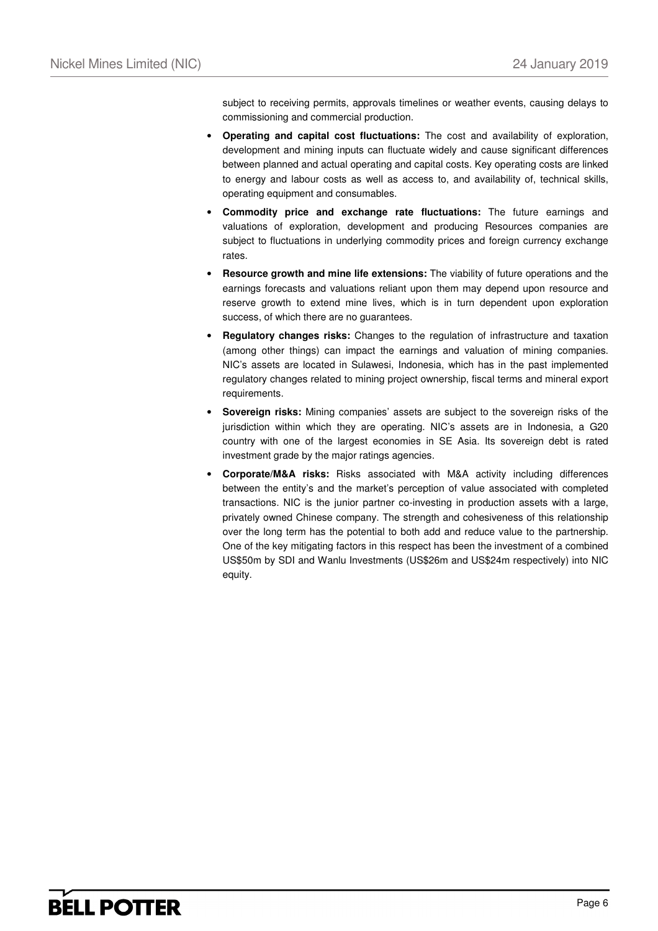subject to receiving permits, approvals timelines or weather events, causing delays to commissioning and commercial production.

- **Operating and capital cost fluctuations:** The cost and availability of exploration, development and mining inputs can fluctuate widely and cause significant differences between planned and actual operating and capital costs. Key operating costs are linked to energy and labour costs as well as access to, and availability of, technical skills, operating equipment and consumables.
- **Commodity price and exchange rate fluctuations:** The future earnings and valuations of exploration, development and producing Resources companies are subject to fluctuations in underlying commodity prices and foreign currency exchange rates.
- **Resource growth and mine life extensions:** The viability of future operations and the earnings forecasts and valuations reliant upon them may depend upon resource and reserve growth to extend mine lives, which is in turn dependent upon exploration success, of which there are no guarantees.
- **Regulatory changes risks:** Changes to the regulation of infrastructure and taxation (among other things) can impact the earnings and valuation of mining companies. NIC's assets are located in Sulawesi, Indonesia, which has in the past implemented regulatory changes related to mining project ownership, fiscal terms and mineral export requirements.
- **Sovereign risks:** Mining companies' assets are subject to the sovereign risks of the jurisdiction within which they are operating. NIC's assets are in Indonesia, a G20 country with one of the largest economies in SE Asia. Its sovereign debt is rated investment grade by the major ratings agencies.
- **Corporate/M&A risks:** Risks associated with M&A activity including differences between the entity's and the market's perception of value associated with completed transactions. NIC is the junior partner co-investing in production assets with a large, privately owned Chinese company. The strength and cohesiveness of this relationship over the long term has the potential to both add and reduce value to the partnership. One of the key mitigating factors in this respect has been the investment of a combined US\$50m by SDI and Wanlu Investments (US\$26m and US\$24m respectively) into NIC equity.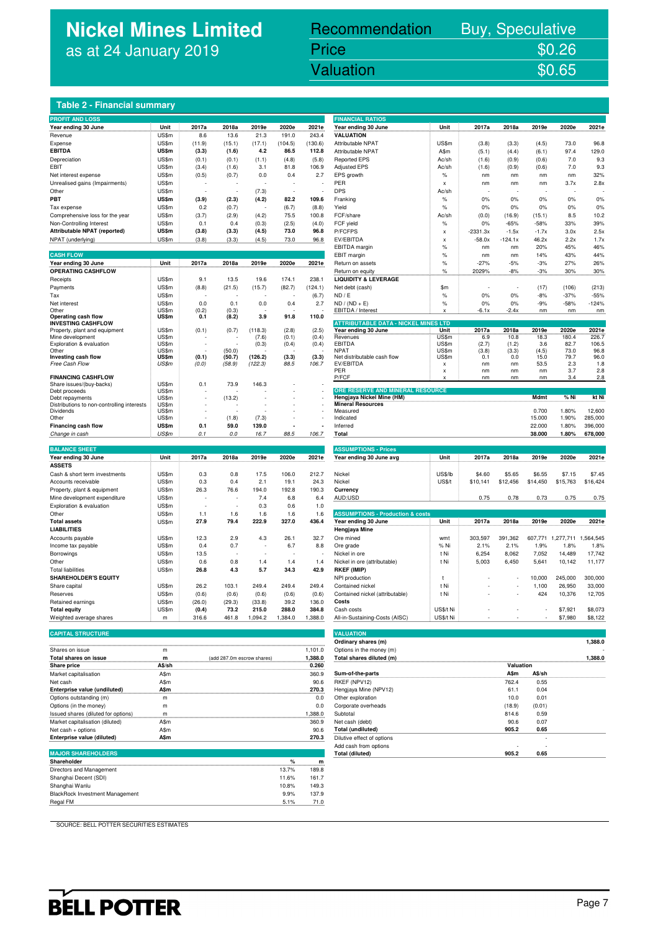## **Nickel Mines Limited** as at 24 January 2019

## Recommendation Buy, Speculative Price \$0.26

Nickel Mines Limited (Nickel Mines Limited (Nickel Mines Limited Control Mines Limited Control Mines Limited C

### **Table 2 - Financial summary**

| <b>PROFIT AND LOSS</b>                                  |                |                 |                 |                 |                |                | <b>FINANCIAL RATIOS</b>                            |                           |              |               |             |               |                |
|---------------------------------------------------------|----------------|-----------------|-----------------|-----------------|----------------|----------------|----------------------------------------------------|---------------------------|--------------|---------------|-------------|---------------|----------------|
| Year ending 30 June                                     | Unit           | 2017a           | 2018a           | 2019e           | 2020e          | 2021e          | Year ending 30 June                                | Unit                      | 2017a        | 2018a         | 2019e       | 2020e         | 2021e          |
| Revenue                                                 | US\$m          | 8.6             | 13.6            | 21.3            | 191.0          | 243.4          | <b>VALUATION</b>                                   |                           |              |               |             |               |                |
| Expense                                                 | US\$m          | (11.9)          | (15.1)          | (17.1)          | (104.5)        | (130.6)        | Attributable NPAT                                  | US\$m                     | (3.8)        | (3.3)         | (4.5)       | 73.0          | 96.8           |
| <b>EBITDA</b>                                           | US\$m          | (3.3)           | (1.6)           | 4.2             | 86.5           | 112.8          | Attributable NPAT                                  | A\$m                      | (5.1)        | (4.4)         | (6.1)       | 97.4          | 129.0          |
| Depreciation                                            | US\$m          | (0.1)           | (0.1)           | (1.1)           | (4.8)          | (5.8)          | <b>Reported EPS</b>                                | Ac/sh                     | (1.6)        | (0.9)         | (0.6)       | 7.0           | 9.3            |
| EBIT                                                    | US\$m          | (3.4)           | (1.6)           | 3.1             | 81.8           | 106.9          | <b>Adjusted EPS</b>                                | Ac/sh                     | (1.6)        | (0.9)         | (0.6)       | 7.0           | 9.3            |
| Net interest expense                                    | US\$m          | (0.5)           | (0.7)           | 0.0             | 0.4            | 2.7            | EPS growth                                         | $\%$                      | nm           | nm            | nm          | nm            | 32%            |
| Unrealised gains (Impairments)                          | US\$m          |                 |                 |                 |                |                | <b>PER</b>                                         | $\mathbf x$               | nm           | nm            | nm          | 3.7x          | 2.8x           |
| Other                                                   | US\$m          |                 |                 | (7.3)           |                |                | <b>DPS</b>                                         | Ac/sh                     |              |               |             |               |                |
| PBT                                                     | US\$m          | (3.9)           | (2.3)           | (4.2)           | 82.2           | 109.6          | Franking                                           | $\%$                      | 0%           | 0%            | 0%          | 0%            | 0%             |
| Tax expense                                             | US\$m          | 0.2             | (0.7)           |                 | (6.7)          | (8.8)          | Yield                                              | $\%$                      | 0%           | 0%            | 0%          | 0%            | 0%             |
| Comprehensive loss for the year                         | US\$m          | (3.7)           | (2.9)           | (4.2)           | 75.5           | 100.8          | FCF/share                                          | Ac/sh                     | (0.0)        | (16.9)        | (15.1)      | 8.5           | 10.2           |
| Non-Controlling Interest                                | US\$m          | 0.1             | 0.4             | (0.3)           | (2.5)          | (4.0)          | FCF yield                                          | $\%$                      | 0%           | $-65%$        | $-58%$      | 33%           | 39%            |
| Attributable NPAT (reported)                            | US\$m          | (3.8)           | (3.3)           | (4.5)           | 73.0           | 96.8           | P/FCFPS                                            | $\pmb{\mathsf{x}}$        | $-2331.3x$   | $-1.5x$       | $-1.7x$     | 3.0x          | 2.5x           |
| NPAT (underlying)                                       | US\$m          | (3.8)           | (3.3)           | (4.5)           | 73.0           | 96.8           | EV/EBITDA                                          | $\boldsymbol{\mathsf{x}}$ | $-58.0x$     | $-124.1x$     | 46.2x       | 2.2x          | 1.7x           |
|                                                         |                |                 |                 |                 |                |                | <b>EBITDA</b> margin                               | %                         | nm           | nm            | 20%         | 45%           | 46%            |
| <b>CASH FLOW</b>                                        |                |                 |                 |                 |                |                | EBIT margin                                        | %                         | nm           | nm            | 14%         | 43%           | 44%            |
| Year ending 30 June<br><b>OPERATING CASHFLOW</b>        | Unit           | 2017a           | 2018a           | 2019e           | 2020e          | 2021e          | Return on assets                                   | %                         | $-27%$       | $-5%$         | $-3%$       | 27%           | 26%            |
|                                                         | US\$m          | 9.1             | 13.5            | 19.6            | 174.1          | 238.1          | Return on equity                                   | %                         | 2029%        | $-8%$         | $-3%$       | 30%           | 30%            |
| Receipts                                                | US\$m          | (8.8)           | (21.5)          | (15.7)          | (82.7)         | (124.1)        | <b>LIQUIDITY &amp; LEVERAGE</b><br>Net debt (cash) | \$m                       |              |               | (17)        | (106)         | (213)          |
| Payments<br>Tax                                         | US\$m          |                 |                 |                 |                |                | ND / E                                             | $\%$                      | 0%           | 0%            | $-8%$       | $-37%$        | $-55%$         |
| Net interest                                            | US\$m          | 0.0             | 0.1             | 0.0             | 0.4            | (6.7)<br>2.7   | $ND / (ND + E)$                                    | $\%$                      | 0%           | 0%            | $-9%$       | $-58%$        | $-124%$        |
| Other                                                   | US\$m          | (0.2)           | (0.3)           |                 |                |                | EBITDA / Interest                                  | $\mathbf x$               | $-6.1x$      | $-2.4x$       | nm          | nm            | nm             |
| Operating cash flow                                     | US\$m          | 0.1             | (8.2)           | 3.9             | 91.8           | 110.0          |                                                    |                           |              |               |             |               |                |
| <b>INVESTING CASHFLOW</b>                               |                |                 |                 |                 |                |                | <b>ATTRIBUTABLE DATA - NICKEL MINES LTD</b>        |                           |              |               |             |               |                |
| Property, plant and equipment                           | US\$m          | (0.1)           | (0.7)           | (118.3)         | (2.8)          | (2.5)          | Year ending 30 June                                | Unit                      | 2017a        | 2018a         | 2019e       | 2020e         | 2021e          |
| Mine development<br>Exploration & evaluation            | US\$m<br>US\$m | ÷               |                 | (7.6)<br>(0.3)  | (0.1)<br>(0.4) | (0.4)<br>(0.4) | Revenues<br><b>EBITDA</b>                          | US\$m<br>US\$m            | 6.9<br>(2.7) | 10.8<br>(1.2) | 18.3<br>3.6 | 180.4<br>82.7 | 226.7<br>106.5 |
| Other                                                   | US\$m          |                 | (50.0)          |                 |                |                | <b>NPAT</b>                                        | US\$m                     | (3.8)        | (3.3)         | (4.5)       | 73.0          | 96.8           |
| Investing cash flow                                     | US\$m          | (0.1)           | (50.7)          | (126.2)         | (3.3)          | (3.3)          | Net distributable cash flow                        | <b>US\$m</b>              | 0.1          | 0.0           | 15.0        | 79.7          | 96.0           |
| Free Cash Flow                                          | US\$m          | (0.0)           | (58.9)          | (122.3)         | 88.5           | 106.7          | EV/EBITDA                                          | $\boldsymbol{\mathsf{x}}$ | nm           | nm            | 53.5        | 2.3           | 1.8            |
| <b>FINANCING CASHFLOW</b>                               |                |                 |                 |                 |                |                | PER<br>P/FCF                                       | X                         | nm<br>nm     | nm<br>nm      | nm<br>nm    | 3.7<br>3.4    | 2.8<br>2.8     |
| Share issues/(buy-backs)                                | US\$m          | 0.1             | 73.9            | 146.3           |                |                |                                                    |                           |              |               |             |               |                |
| Debt proceeds                                           | US\$m          |                 |                 |                 |                |                | ORE RESERVE AND MINERAL RESOURCE                   |                           |              |               |             |               |                |
| Debt repayments                                         | US\$m          |                 | (13.2)          |                 |                |                | Hengjaya Nickel Mine (HM)                          |                           |              |               | Mdmt        | % Ni          | kt Ni          |
| Distributions to non-controlling interests<br>Dividends | US\$m<br>US\$m |                 |                 |                 |                |                | <b>Mineral Resources</b><br>Measured               |                           |              |               | 0.700       | 1.80%         | 12,600         |
| Other                                                   | US\$m          |                 | (1.8)           | (7.3)           |                |                | Indicated                                          |                           |              |               | 15.000      | 1.90%         | 285,000        |
| Financing cash flow                                     | US\$m          | 0.1             | 59.0            | 139.0           |                |                | Inferred                                           |                           |              |               | 22.000      | 1.80%         | 396,000        |
| Change in cash                                          | US\$m          | 0.1             | 0.0             | 16.7            | 88.5           | 106.7          | Total                                              |                           |              |               | 38.000      | 1.80%         | 678,000        |
|                                                         |                |                 |                 |                 |                |                |                                                    |                           |              |               |             |               |                |
| <b>BALANCE SHEET</b>                                    |                |                 |                 |                 |                |                | <b>ASSUMPTIONS - Prices</b>                        |                           |              |               |             |               |                |
| Year ending 30 June                                     | Unit           | 2017a           | 2018a           | 2019e           | 2020e          | 2021e          | Year ending 30 June avg                            | Unit                      | 2017a        | 2018a         | 2019e       | 2020e         | 2021e          |
| <b>ASSETS</b>                                           |                |                 |                 |                 |                |                |                                                    |                           |              |               |             |               |                |
| Cash & short term investments                           | US\$m          | 0.3             | 0.8             | 17.5            | 106.0          | 212.7          | Nickel                                             | US\$/lb                   | \$4.60       | \$5.65        | \$6.55      | \$7.15        | \$7.45         |
| Accounts receivable                                     | US\$m          | 0.3             | 0.4             | 2.1             | 19.1           | 24.3           | Nickel                                             | US\$/t                    | \$10,141     | \$12,456      | \$14,450    | \$15,763      | \$16,424       |
| Property, plant & equipment                             | US\$m          | 26.3            | 76.6            | 194.0           | 192.8          | 190.3          | Currency                                           |                           |              |               |             |               |                |
| Mine development expenditure                            | US\$m          |                 |                 | 7.4             | 6.8            | 6.4            | AUD:USD                                            |                           | 0.75         | 0.78          | 0.73        | 0.75          | 0.75           |
| Exploration & evaluation                                | US\$m          | $\overline{a}$  |                 | 0.3             | 0.6            | 1.0            |                                                    |                           |              |               |             |               |                |
| Other                                                   | US\$m          | 1.1             | 1.6             | 1.6             | 1.6            | 1.6            | <b>ASSUMPTIONS - Production &amp; costs</b>        |                           |              |               |             |               |                |
| <b>Total assets</b>                                     | US\$m          | 27.9            | 79.4            | 222.9           | 327.0          | 436.4          | Year ending 30 June                                | Unit                      | 2017a        | 2018a         | 2019e       | 2020e         | 2021e          |
| <b>LIABILITIES</b>                                      |                |                 |                 |                 |                |                | Hengjaya Mine                                      |                           |              |               |             |               |                |
| Accounts payable                                        | <b>US\$m</b>   | 12.3            | 2.9             | 4.3             | 26.1           | 32.7           | Ore mined                                          | wmt                       | 303,597      | 391,362       | 607,771     | 1,277,711     | 1.564.545      |
| Income tax payable                                      | US\$m          | 0.4             | 0.7             |                 | 6.7            | 8.8            | Ore grade                                          | % Ni                      | 2.1%         | 2.1%          | 1.9%        | 1.8%          | 1.8%           |
| Borrowings                                              | US\$m          | 13.5            |                 |                 |                |                | Nickel in ore                                      | t Ni                      | 6,254        | 8,062         | 7,052       | 14,489        | 17,742         |
| Other                                                   | US\$m          | 0.6             | 0.8             | 1.4             | 1.4            | 1.4            | Nickel in ore (attributable)                       | t Ni                      | 5,003        | 6,450         | 5,641       | 10,142        | 11,177         |
| <b>Total liabilities</b>                                | US\$m          | 26.8            | 4.3             | 5.7             | 34.3           | 42.9           | RKEF (IMIP)                                        |                           |              |               |             |               |                |
| <b>SHAREHOLDER'S EQUITY</b>                             |                |                 |                 |                 |                |                | NPI production                                     | $\mathsf{t}$              |              |               | 10,000      | 245,000       | 300,000        |
| Share capital                                           | US\$m          | 26.2            | 103.1           | 249.4           | 249.4          | 249.4          | Contained nickel                                   | t Ni                      |              |               | 1,100       | 26,950        | 33,000         |
| Reserves                                                | US\$m<br>US\$m | (0.6)<br>(26.0) | (0.6)<br>(29.3) | (0.6)<br>(33.8) | (0.6)<br>39.2  | (0.6)<br>136.0 | Contained nickel (attributable)<br>Costs           | t Ni                      |              |               | 424         | 10,376        | 12,705         |
| Retained earnings<br><b>Total equity</b>                | US\$m          | (0.4)           | 73.2            | 215.0           | 288.0          | 384.8          | Cash costs                                         | US\$/t Ni                 |              |               |             | \$7,921       | \$8,073        |
| Weighted average shares                                 | m              | 316.6           | 461.8           | 1,094.2         | 1,384.0        | 1,388.0        | All-in-Sustaining-Costs (AISC)                     | US\$/t Ni                 |              |               |             | \$7,980       | \$8,122        |
|                                                         |                |                 |                 |                 |                |                |                                                    |                           |              |               |             |               |                |
|                                                         |                |                 |                 |                 |                |                |                                                    |                           |              |               |             |               |                |
| <b>CAPITAL STRUCTURE</b>                                |                |                 |                 |                 |                |                | <b>VALUATION</b>                                   |                           |              |               |             |               |                |

|                                     |             |                            |         | Orginary shares (m)        |           |        | l.388.U |
|-------------------------------------|-------------|----------------------------|---------|----------------------------|-----------|--------|---------|
| Shares on issue                     | m           |                            | 1.101.0 | Options in the money (m)   |           |        |         |
| Total shares on issue               | m           | (add 287.0m escrow shares) | 1.388.0 | Total shares diluted (m)   |           |        | 1.388.0 |
| <b>Share price</b>                  | A\$/sh      |                            | 0.260   |                            | Valuation |        |         |
| Market capitalisation               | A\$m        |                            | 360.9   | Sum-of-the-parts           | A\$m      | A\$/sh |         |
| Net cash                            | A\$m        |                            | 90.6    | RKEF (NPV12)               | 762.4     | 0.55   |         |
| Enterprise value (undiluted)        | <b>A\$m</b> |                            | 270.3   | Hengjaya Mine (NPV12)      | 61.1      | 0.04   |         |
| Options outstanding (m)             | m           |                            | 0.0     | Other exploration          | 10.0      | 0.01   |         |
| Options (in the money)              | m           |                            | 0.0     | Corporate overheads        | (18.9)    | (0.01) |         |
| Issued shares (diluted for options) | m           |                            | .388.0  | Subtotal                   | 814.6     | 0.59   |         |
| Market capitalisation (diluted)     | A\$m        |                            | 360.9   | Net cash (debt)            | 90.6      | 0.07   |         |
| Net cash + options                  | A\$m        |                            | 90.6    | Total (undiluted)          | 905.2     | 0.65   |         |
| Enterprise value (diluted)          | A\$m        |                            | 270.3   | Dilutive effect of options |           |        |         |
|                                     |             |                            |         |                            |           |        |         |

| <b>MAJOR SHAREHOLDERS</b>                               |
|---------------------------------------------------------|
| Shareholder<br>O/<br>m                                  |
| Directors and Management<br>13.7%<br>189.8              |
| Shanghai Decent (SDI)<br>161.7<br>11.6%                 |
| Shanghai Wanlu<br>149.3<br>10.8%                        |
| <b>BlackRock Investment Management</b><br>137.9<br>9.9% |
| Regal FM<br>5.1%<br>71.0                                |

| <b>FINANCIAL RATIOS</b>                                                                                                                                                                                                                                                                                                                                                                  |                   |                    |                    |                    |                             |                    |
|------------------------------------------------------------------------------------------------------------------------------------------------------------------------------------------------------------------------------------------------------------------------------------------------------------------------------------------------------------------------------------------|-------------------|--------------------|--------------------|--------------------|-----------------------------|--------------------|
| Year ending 30 June                                                                                                                                                                                                                                                                                                                                                                      | Unit              | 2017a              | 2018a              | 2019e              | 2020e                       | 2021e              |
| VALUATION                                                                                                                                                                                                                                                                                                                                                                                | <b>US\$m</b>      |                    |                    |                    |                             |                    |
| Attributable NPAT<br>Attributable NPAT                                                                                                                                                                                                                                                                                                                                                   | A\$m              | (3.8)<br>(5.1)     | (3.3)<br>(4.4)     | (4.5)<br>(6.1)     | 73.0<br>97.4                | 96.8<br>129.0      |
| <b>Reported EPS</b>                                                                                                                                                                                                                                                                                                                                                                      | Ac/sh             | (1.6)              | (0.9)              | (0.6)              | 7.0                         | 9.3                |
| Adjusted EPS                                                                                                                                                                                                                                                                                                                                                                             | Ac/sh             | (1.6)              | (0.9)              | (0.6)              | 7.0                         | 9.3                |
| EPS growth                                                                                                                                                                                                                                                                                                                                                                               | %                 | nm                 | nm                 | nm                 | nm                          | 32%                |
| PER                                                                                                                                                                                                                                                                                                                                                                                      | X                 | nm                 | nm                 | nm                 | 3.7x                        | 2.8x               |
| DPS                                                                                                                                                                                                                                                                                                                                                                                      | Ac/sh             |                    |                    |                    |                             |                    |
| Franking                                                                                                                                                                                                                                                                                                                                                                                 | %                 | 0%                 | 0%                 | 0%                 | 0%                          | 0%                 |
| Yield<br>FCF/share                                                                                                                                                                                                                                                                                                                                                                       | %<br>Ac/sh        | 0%<br>(0.0)        | 0%<br>(16.9)       | 0%<br>(15.1)       | 0%<br>8.5                   | 0%<br>10.2         |
| FCF yield                                                                                                                                                                                                                                                                                                                                                                                | $\%$              | 0%                 | $-65%$             | $-58%$             | 33%                         | 39%                |
| P/FCFPS                                                                                                                                                                                                                                                                                                                                                                                  | X                 | $-2331.3x$         | $-1.5x$            | $-1.7x$            | 3.0x                        | 2.5x               |
| EV/EBITDA                                                                                                                                                                                                                                                                                                                                                                                | X                 | $-58.0x$           | $-124.1x$          | 46.2x              | 2.2x                        | 1.7x               |
| EBITDA margin                                                                                                                                                                                                                                                                                                                                                                            | %                 | nm                 | nm                 | 20%                | 45%                         | 46%                |
| EBIT margin                                                                                                                                                                                                                                                                                                                                                                              | %                 | nm                 | nm                 | 14%                | 43%                         | 44%                |
| Return on assets                                                                                                                                                                                                                                                                                                                                                                         | %                 | $-27%$             | $-5%$              | $-3%$              | 27%                         | 26%                |
| Return on equity<br><b>LIQUIDITY &amp; LEVERAGE</b>                                                                                                                                                                                                                                                                                                                                      | %                 | 2029%              | -8%                | $-3%$              | 30%                         | 30%                |
| Net debt (cash)                                                                                                                                                                                                                                                                                                                                                                          | \$m               |                    |                    | (17)               | (106)                       | (213)              |
| ND / E                                                                                                                                                                                                                                                                                                                                                                                   | %                 | 0%                 | 0%                 | $-8%$              | $-37%$                      | $-55%$             |
| ND / (ND + E)                                                                                                                                                                                                                                                                                                                                                                            | %                 | 0%                 | 0%                 | $-9%$              | $-58%$                      | $-124%$            |
| EBITDA / Interest                                                                                                                                                                                                                                                                                                                                                                        | X                 | -6.1x              | $-2.4x$            | nm                 | nm                          | nm                 |
| <b>ATTRIBUTABLE DATA - NICKEL MINES LTD</b>                                                                                                                                                                                                                                                                                                                                              |                   |                    |                    |                    |                             |                    |
| Year ending 30 June                                                                                                                                                                                                                                                                                                                                                                      | Unit              | 2017a              | 2018a              | 2019e              | 2020e                       | 2021e              |
| Revenues<br>EBITDA                                                                                                                                                                                                                                                                                                                                                                       | US\$m<br>US\$m    | 6.9<br>(2.7)       | 10.8               | 18.3<br>3.6        | 180.4<br>82.7               | 226.7<br>106.5     |
| <b>NPAT</b>                                                                                                                                                                                                                                                                                                                                                                              | US\$m             | (3.8)              | (1.2)<br>(3.3)     | (4.5)              | 73.0                        | 96.8               |
| Net distributable cash flow                                                                                                                                                                                                                                                                                                                                                              | US\$m             | 0.1                | 0.0                | 15.0               | 79.7                        | 96.0               |
| EV/EBITDA<br>PFR                                                                                                                                                                                                                                                                                                                                                                         | X<br>X            | nm<br>nm           | nm<br>nm           | 53.5<br>nm         | 2.3<br>3.7                  | 1.8<br>2.8         |
| P/FCF                                                                                                                                                                                                                                                                                                                                                                                    | X                 | nm                 | nm                 | nm                 | 3.4                         | 2.8                |
|                                                                                                                                                                                                                                                                                                                                                                                          |                   |                    |                    |                    |                             |                    |
| ORE RESERVE AND MINERAL RESOURCE<br>Hengjaya Nickel Mine (HM)                                                                                                                                                                                                                                                                                                                            |                   |                    |                    | Mdmt               | % Ni                        | kt Ni              |
| <b>Mineral Resources</b>                                                                                                                                                                                                                                                                                                                                                                 |                   |                    |                    |                    |                             |                    |
| Measured                                                                                                                                                                                                                                                                                                                                                                                 |                   |                    |                    | 0.700              | 1.80%                       | 12,600             |
| Indicated<br>Inferred                                                                                                                                                                                                                                                                                                                                                                    |                   |                    |                    | 15.000<br>22.000   | 1.90%<br>1.80%              | 285,000<br>396,000 |
| Total                                                                                                                                                                                                                                                                                                                                                                                    |                   |                    |                    | 38.000             | 1.80%                       | 678,000            |
|                                                                                                                                                                                                                                                                                                                                                                                          |                   |                    |                    |                    |                             |                    |
| <b>ASSUMPTIONS - Prices</b>                                                                                                                                                                                                                                                                                                                                                              |                   |                    |                    |                    |                             |                    |
| Year ending 30 June avg                                                                                                                                                                                                                                                                                                                                                                  | Unit              | 2017a              | 2018a              | 2019e              | 2020e                       | 2021e              |
|                                                                                                                                                                                                                                                                                                                                                                                          |                   |                    |                    |                    |                             |                    |
| Nickel<br>Nickel                                                                                                                                                                                                                                                                                                                                                                         | US\$/lb<br>US\$/t | \$4.60<br>\$10,141 | \$5.65<br>\$12,456 | \$6.55<br>\$14,450 | \$7.15<br>\$15,763          | \$7.45<br>\$16,424 |
| Currency                                                                                                                                                                                                                                                                                                                                                                                 |                   |                    |                    |                    |                             |                    |
| AUD:USD                                                                                                                                                                                                                                                                                                                                                                                  |                   | 0.75               | 0.78               | 0.73               | 0.75                        | 0.75               |
|                                                                                                                                                                                                                                                                                                                                                                                          |                   |                    |                    |                    |                             |                    |
| <b>ASSUMPTIONS - Production &amp; costs</b>                                                                                                                                                                                                                                                                                                                                              |                   |                    |                    |                    |                             |                    |
| Year ending 30 June                                                                                                                                                                                                                                                                                                                                                                      | Unit              | 2017a              | 2018a              | 2019e              | 2020e                       | 2021e              |
| Hengjaya Mine                                                                                                                                                                                                                                                                                                                                                                            |                   |                    |                    |                    |                             |                    |
| Ore mined<br>Ore grade                                                                                                                                                                                                                                                                                                                                                                   | wmt<br>% Ni       | 303,597<br>2.1%    | 391,362<br>2.1%    | 607,771<br>1.9%    | 1,277,711 1,564,545<br>1.8% | 1.8%               |
| Nickel in ore                                                                                                                                                                                                                                                                                                                                                                            | t Ni              | 6,254              | 8,062              | 7,052              | 14,489                      | 17,742             |
| Nickel in ore (attributable)                                                                                                                                                                                                                                                                                                                                                             | t Ni              | 5,003              |                    | 5,641              | 10,142                      | 11,177             |
|                                                                                                                                                                                                                                                                                                                                                                                          |                   |                    | 6,450              |                    |                             |                    |
|                                                                                                                                                                                                                                                                                                                                                                                          |                   |                    |                    |                    |                             |                    |
|                                                                                                                                                                                                                                                                                                                                                                                          | t                 |                    |                    | 10,000             | 245,000                     | 300,000            |
|                                                                                                                                                                                                                                                                                                                                                                                          | t Ni              |                    |                    | 1,100              | 26,950                      | 33,000             |
|                                                                                                                                                                                                                                                                                                                                                                                          | t Ni              |                    |                    | 424                | 10,376                      | 12,705             |
|                                                                                                                                                                                                                                                                                                                                                                                          |                   |                    |                    |                    |                             |                    |
|                                                                                                                                                                                                                                                                                                                                                                                          | US\$/t Ni         |                    |                    |                    | \$7,921                     | \$8,073            |
|                                                                                                                                                                                                                                                                                                                                                                                          | US\$/t Ni         |                    |                    |                    | \$7,980                     | \$8,122            |
|                                                                                                                                                                                                                                                                                                                                                                                          |                   |                    |                    |                    |                             |                    |
|                                                                                                                                                                                                                                                                                                                                                                                          |                   |                    |                    |                    |                             | 1,388.0            |
|                                                                                                                                                                                                                                                                                                                                                                                          |                   |                    |                    |                    |                             |                    |
|                                                                                                                                                                                                                                                                                                                                                                                          |                   |                    |                    |                    |                             | 1,388.0            |
|                                                                                                                                                                                                                                                                                                                                                                                          |                   |                    | Valuation          |                    |                             |                    |
|                                                                                                                                                                                                                                                                                                                                                                                          |                   |                    | A\$m<br>762.4      | A\$/sh<br>0.55     |                             |                    |
|                                                                                                                                                                                                                                                                                                                                                                                          |                   |                    | 61.1               | 0.04               |                             |                    |
|                                                                                                                                                                                                                                                                                                                                                                                          |                   |                    | 10.0               | 0.01               |                             |                    |
|                                                                                                                                                                                                                                                                                                                                                                                          |                   |                    | (18.9)             | (0.01)             |                             |                    |
|                                                                                                                                                                                                                                                                                                                                                                                          |                   |                    | 814.6              | 0.59               |                             |                    |
| RKEF (IMIP)<br>NPI production<br>Contained nickel<br>Contained nickel (attributable)<br>Costs<br>Cash costs<br>All-in-Sustaining-Costs (AISC)<br><b>VALUATION</b><br>Ordinary shares (m)<br>Options in the money (m)<br>Total shares diluted (m)<br>Sum-of-the-parts<br>RKEF (NPV12)<br>Hengjaya Mine (NPV12)<br>Other exploration<br>Corporate overheads<br>Subtotal<br>Net cash (debt) |                   |                    | 90.6               | 0.07               |                             |                    |
| Total (undiluted)<br>Dilutive effect of options                                                                                                                                                                                                                                                                                                                                          |                   |                    | 905.2              | 0.65               |                             |                    |

SOURCE: BELL POTTER SECURITIES ESTIMATES